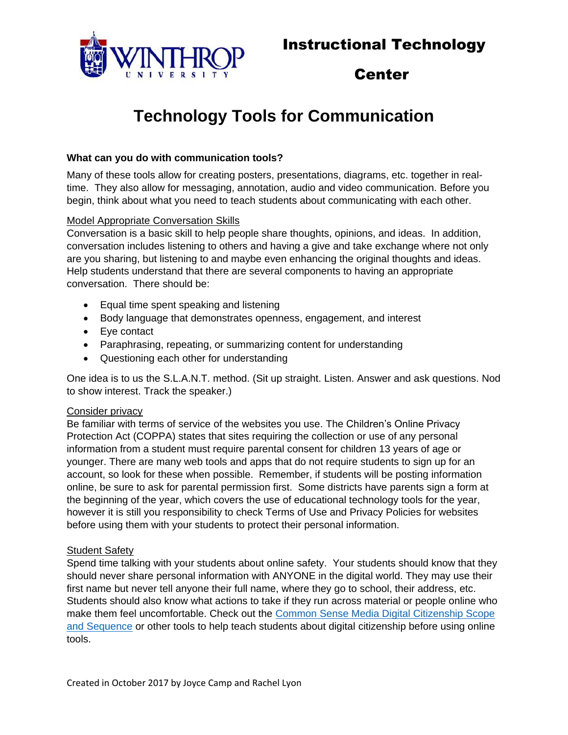

# Center

# **Technology Tools for Communication**

#### **What can you do with communication tools?**

Many of these tools allow for creating posters, presentations, diagrams, etc. together in realtime. They also allow for messaging, annotation, audio and video communication. Before you begin, think about what you need to teach students about communicating with each other.

#### Model Appropriate Conversation Skills

Conversation is a basic skill to help people share thoughts, opinions, and ideas. In addition, conversation includes listening to others and having a give and take exchange where not only are you sharing, but listening to and maybe even enhancing the original thoughts and ideas. Help students understand that there are several components to having an appropriate conversation. There should be:

- Equal time spent speaking and listening
- Body language that demonstrates openness, engagement, and interest
- Eye contact
- Paraphrasing, repeating, or summarizing content for understanding
- Questioning each other for understanding

One idea is to us the S.L.A.N.T. method. (Sit up straight. Listen. Answer and ask questions. Nod to show interest. Track the speaker.)

#### Consider privacy

Be familiar with terms of service of the websites you use. The [Children's Online Privacy](https://www.ftc.gov/enforcement/rules/rulemaking-regulatory-reform-proceedings/childrens-online-privacy-protection-rule)  [Protection Act \(COPPA\)](https://www.ftc.gov/enforcement/rules/rulemaking-regulatory-reform-proceedings/childrens-online-privacy-protection-rule) states that sites requiring the collection or use of any personal information from a student must require parental consent for children 13 years of age or younger. There are many web tools and apps that do not require students to sign up for an account, so look for these when possible. Remember, if students will be posting information online, be sure to ask for parental permission first. Some districts have parents sign a form at the beginning of the year, which covers the use of educational technology tools for the year, however it is still you responsibility to check Terms of Use and Privacy Policies for websites before using them with your students to protect their personal information.

#### Student Safety

Spend time talking with your students about online safety. Your students should know that they should never share personal information with ANYONE in the digital world. They may use their first name but never tell anyone their full name, where they go to school, their address, etc. Students should also know what actions to take if they run across material or people online who make them feel uncomfortable. Check out the [Common Sense Media Digital Citizenship Scope](Creating%20posters,%20presentations,%20diagrams,%20etc.%20together%20in%20real-time…)  [and Sequence](Creating%20posters,%20presentations,%20diagrams,%20etc.%20together%20in%20real-time…) or other tools to help teach students about digital citizenship before using online tools.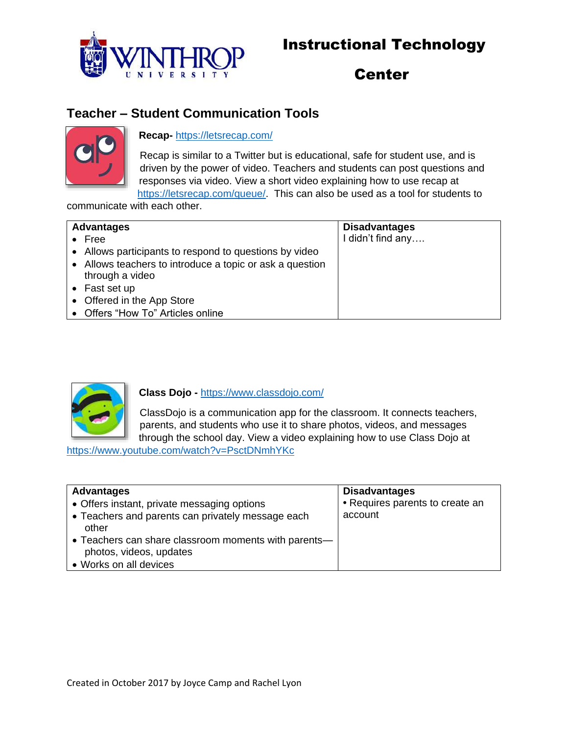

# Center

### **Teacher – Student Communication Tools**



### **Recap-** <https://letsrecap.com/>

Recap is similar to a Twitter but is educational, safe for student use, and is driven by the power of video. Teachers and students can post questions and responses via video. View a short video explaining how to use recap at [https://letsrecap.com/queue/.](https://letsrecap.com/queue/) This can also be used as a tool for students to

communicate with each other.

| <b>Advantages</b> |                                                                             | <b>Disadvantages</b> |
|-------------------|-----------------------------------------------------------------------------|----------------------|
|                   | $\bullet$ Free                                                              | I didn't find any    |
|                   | • Allows participants to respond to questions by video                      |                      |
|                   | • Allows teachers to introduce a topic or ask a question<br>through a video |                      |
|                   | $\bullet$ Fast set up                                                       |                      |
|                   | • Offered in the App Store                                                  |                      |
|                   | • Offers "How To" Articles online                                           |                      |



**Class Dojo -** <https://www.classdojo.com/>

ClassDojo is a communication app for the classroom. It connects teachers, parents, and students who use it to share photos, videos, and messages through the school day. View a video explaining how to use Class Dojo at

<https://www.youtube.com/watch?v=PsctDNmhYKc>

| <b>Advantages</b>                                                               | <b>Disadvantages</b>            |
|---------------------------------------------------------------------------------|---------------------------------|
| • Offers instant, private messaging options                                     | • Requires parents to create an |
| • Teachers and parents can privately message each<br>other                      | account                         |
| • Teachers can share classroom moments with parents—<br>photos, videos, updates |                                 |
| • Works on all devices                                                          |                                 |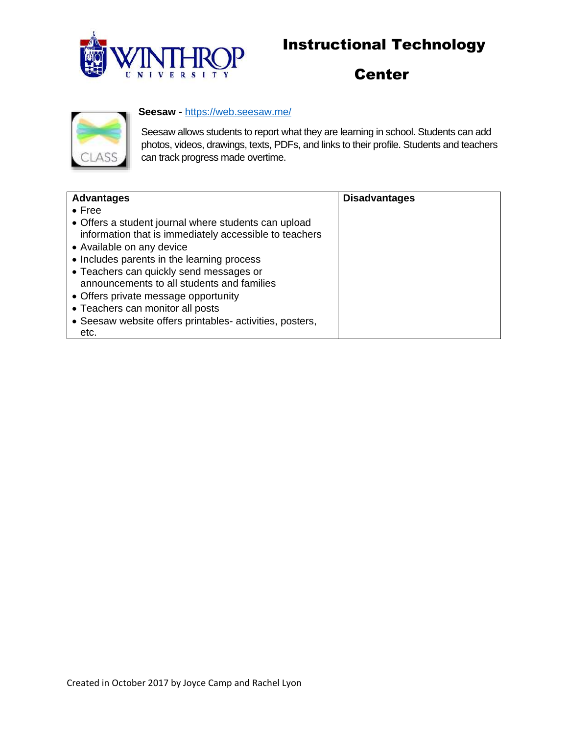

# **Center**



### **Seesaw -** <https://web.seesaw.me/>

Seesaw allows students to report what they are learning in school. Students can add photos, videos, drawings, texts, PDFs, and links to their profile. Students and teachers can track progress made overtime.

| <b>Advantages</b>                                                                                              | <b>Disadvantages</b> |
|----------------------------------------------------------------------------------------------------------------|----------------------|
| $\bullet$ Free                                                                                                 |                      |
| • Offers a student journal where students can upload<br>information that is immediately accessible to teachers |                      |
| • Available on any device                                                                                      |                      |
| • Includes parents in the learning process                                                                     |                      |
| • Teachers can quickly send messages or                                                                        |                      |
| announcements to all students and families                                                                     |                      |
| • Offers private message opportunity                                                                           |                      |
| • Teachers can monitor all posts                                                                               |                      |
| • Seesaw website offers printables- activities, posters,                                                       |                      |
| etc.                                                                                                           |                      |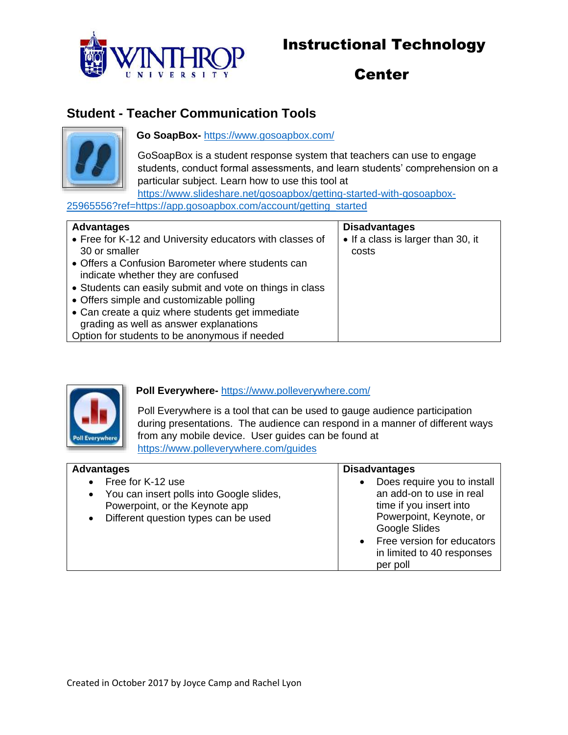

# Center

## **Student - Teacher Communication Tools**



**Go SoapBox-** <https://www.gosoapbox.com/>

GoSoapBox is a student response system that teachers can use to engage students, conduct formal assessments, and learn students' comprehension on a particular subject. Learn how to use this tool at

[https://www.slideshare.net/gosoapbox/getting-started-with-gosoapbox-](https://www.slideshare.net/gosoapbox/getting-started-with-gosoapbox-25965556?ref=https://app.gosoapbox.com/account/getting_started)[25965556?ref=https://app.gosoapbox.com/account/getting\\_started](https://www.slideshare.net/gosoapbox/getting-started-with-gosoapbox-25965556?ref=https://app.gosoapbox.com/account/getting_started)

| <b>Advantages</b>                                        | <b>Disadvantages</b>               |
|----------------------------------------------------------|------------------------------------|
| • Free for K-12 and University educators with classes of | • If a class is larger than 30, it |
| 30 or smaller                                            | costs                              |
| • Offers a Confusion Barometer where students can        |                                    |
| indicate whether they are confused                       |                                    |
| • Students can easily submit and vote on things in class |                                    |
| • Offers simple and customizable polling                 |                                    |
| • Can create a quiz where students get immediate         |                                    |
| grading as well as answer explanations                   |                                    |
| Option for students to be anonymous if needed            |                                    |



### **Poll Everywhere-** <https://www.polleverywhere.com/>

Poll Everywhere is a tool that can be used to gauge audience participation during presentations. The audience can respond in a manner of different ways from any mobile device. User guides can be found at <https://www.polleverywhere.com/guides>

| <b>Advantages</b>                                     | <b>Disadvantages</b>                     |
|-------------------------------------------------------|------------------------------------------|
| Free for K-12 use<br>$\bullet$                        | Does require you to install<br>$\bullet$ |
| You can insert polls into Google slides,<br>$\bullet$ | an add-on to use in real                 |
| Powerpoint, or the Keynote app                        | time if you insert into                  |
| Different question types can be used<br>$\bullet$     | Powerpoint, Keynote, or                  |
|                                                       | Google Slides                            |
|                                                       | • Free version for educators             |
|                                                       | in limited to 40 responses               |
|                                                       | per poll                                 |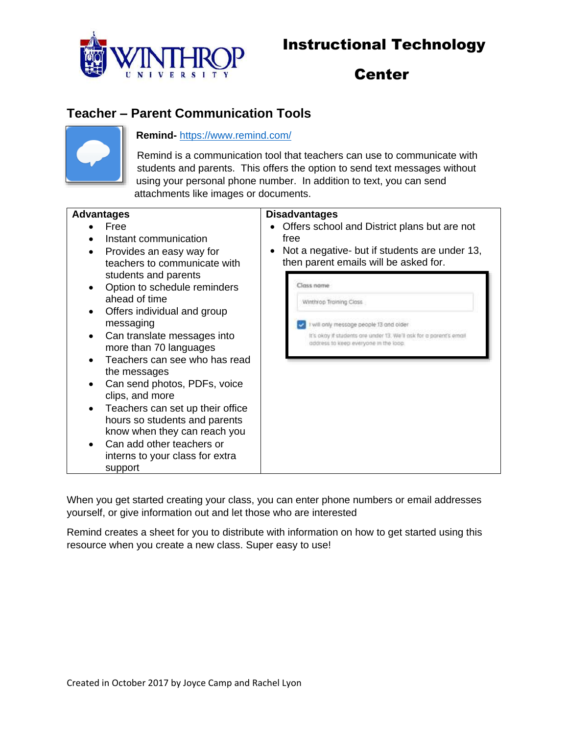

# Center

## **Teacher – Parent Communication Tools**



#### **Remind-** <https://www.remind.com/>

Remind is a communication tool that teachers can use to communicate with students and parents. This offers the option to send text messages without using your personal phone number. In addition to text, you can send attachments like images or documents.

#### **Advantages**

- Free
- Instant communication
- Provides an easy way for teachers to communicate with students and parents
- Option to schedule reminders ahead of time
- Offers individual and group messaging
- Can translate messages into more than 70 languages
- $\bullet$  Teachers can see who has read the messages
- Can send photos, PDFs, voice clips, and more
- Teachers can set up their office hours so students and parents know when they can reach you
- Can add other teachers or interns to your class for extra support

#### **Disadvantages**

- Offers school and District plans but are not free
- Not a negative- but if students are under 13, then parent emails will be asked for.

| Winthrop Training Class                                                                                     |
|-------------------------------------------------------------------------------------------------------------|
| I will only message people 13 and older                                                                     |
| It's okay if students are under 13. We'll ask for a parent's email<br>address to keep everyone in the loop. |
|                                                                                                             |
|                                                                                                             |
|                                                                                                             |
|                                                                                                             |
|                                                                                                             |
|                                                                                                             |
|                                                                                                             |

When you get started creating your class, you can enter phone numbers or email addresses yourself, or give information out and let those who are interested

Remind creates a sheet for you to distribute with information on how to get started using this resource when you create a new class. Super easy to use!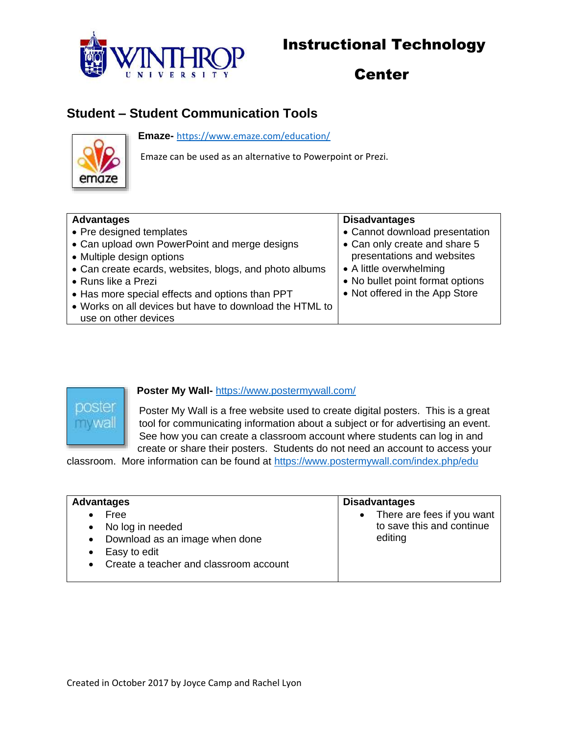

# Center

## **Student – Student Communication Tools**

**Emaze-** <https://www.emaze.com/education/>



Emaze can be used as an alternative to Powerpoint or Prezi.

| <b>Disadvantages</b>             |
|----------------------------------|
| • Cannot download presentation   |
| • Can only create and share 5    |
| presentations and websites       |
| • A little overwhelming          |
| • No bullet point format options |
| • Not offered in the App Store   |
|                                  |
|                                  |



#### **Poster My Wall-** <https://www.postermywall.com/>

Poster My Wall is a free website used to create digital posters. This is a great tool for communicating information about a subject or for advertising an event. See how you can create a classroom account where students can log in and create or share their posters. Students do not need an account to access your

classroom. More information can be found at<https://www.postermywall.com/index.php/edu>

| <b>Advantages</b>                                                                                                                                               | <b>Disadvantages</b>                                                 |
|-----------------------------------------------------------------------------------------------------------------------------------------------------------------|----------------------------------------------------------------------|
| Free<br>$\bullet$<br>• No log in needed<br>Download as an image when done<br>$\bullet$<br>Easy to edit<br>$\bullet$<br>• Create a teacher and classroom account | • There are fees if you want<br>to save this and continue<br>editing |